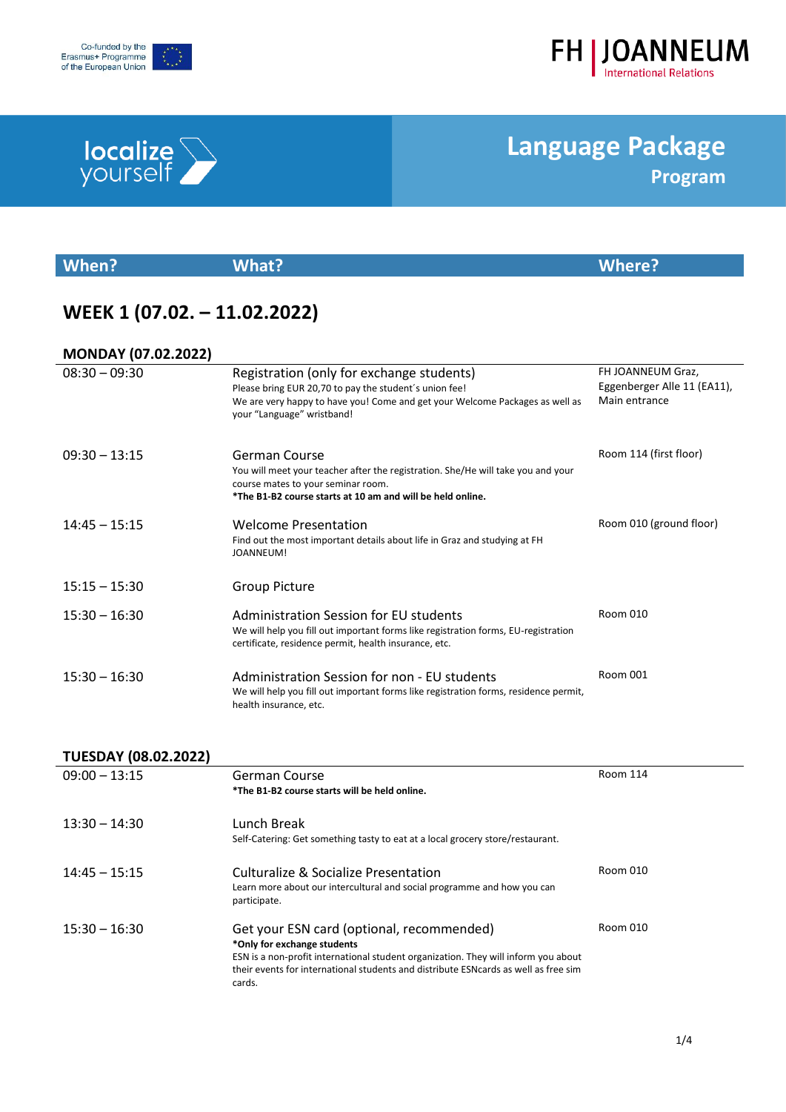

**localize** 



## **Language Package Program**

| When?                        | <b>What?</b>                                                                                                                                                                                                      | <b>Where?</b>                                                     |
|------------------------------|-------------------------------------------------------------------------------------------------------------------------------------------------------------------------------------------------------------------|-------------------------------------------------------------------|
| WEEK 1 (07.02. - 11.02.2022) |                                                                                                                                                                                                                   |                                                                   |
| <b>MONDAY (07.02.2022)</b>   |                                                                                                                                                                                                                   |                                                                   |
| $08:30 - 09:30$              | Registration (only for exchange students)<br>Please bring EUR 20,70 to pay the student's union fee!<br>We are very happy to have you! Come and get your Welcome Packages as well as<br>your "Language" wristband! | FH JOANNEUM Graz,<br>Eggenberger Alle 11 (EA11),<br>Main entrance |
| $09:30 - 13:15$              | German Course<br>You will meet your teacher after the registration. She/He will take you and your<br>course mates to your seminar room.<br>*The B1-B2 course starts at 10 am and will be held online.             | Room 114 (first floor)                                            |
| $14:45 - 15:15$              | <b>Welcome Presentation</b><br>Find out the most important details about life in Graz and studying at FH<br>JOANNEUM!                                                                                             | Room 010 (ground floor)                                           |
| $15:15 - 15:30$              | <b>Group Picture</b>                                                                                                                                                                                              |                                                                   |
| $15:30 - 16:30$              | Administration Session for EU students<br>We will help you fill out important forms like registration forms, EU-registration<br>certificate, residence permit, health insurance, etc.                             | Room 010                                                          |
| $15:30 - 16:30$              | Administration Session for non - EU students<br>We will help you fill out important forms like registration forms, residence permit,<br>health insurance, etc.                                                    | <b>Room 001</b>                                                   |

#### **TUESDAY (08.02.2022)**

| $09:00 - 13:15$ | German Course<br>*The B1-B2 course starts will be held online.                                                                                                                                                                                                   | Room 114 |
|-----------------|------------------------------------------------------------------------------------------------------------------------------------------------------------------------------------------------------------------------------------------------------------------|----------|
| $13:30 - 14:30$ | Lunch Break<br>Self-Catering: Get something tasty to eat at a local grocery store/restaurant.                                                                                                                                                                    |          |
| $14:45 - 15:15$ | Culturalize & Socialize Presentation<br>Learn more about our intercultural and social programme and how you can<br>participate.                                                                                                                                  | Room 010 |
| $15:30 - 16:30$ | Get your ESN card (optional, recommended)<br>*Only for exchange students<br>ESN is a non-profit international student organization. They will inform you about<br>their events for international students and distribute ESN cards as well as free sim<br>cards. | Room 010 |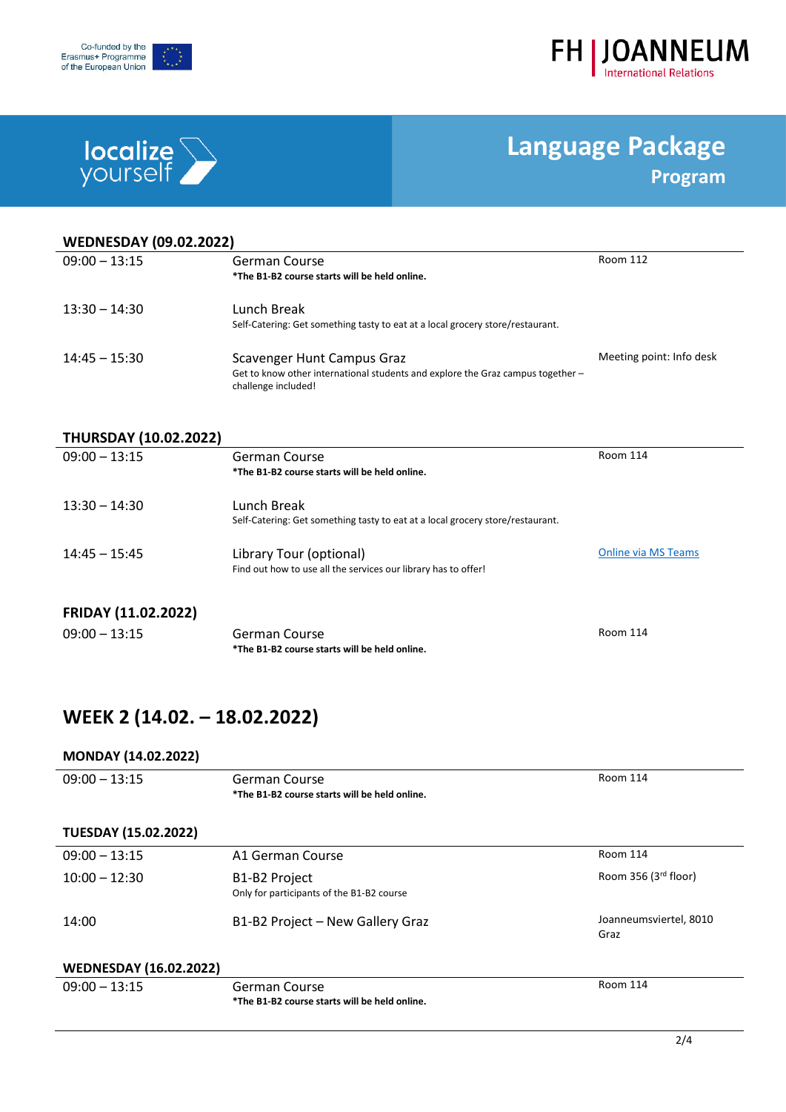



# **localize**

 $\overline{a}$ 

## **Language Package Program**

| <b>WEDNESDAY (09.02.2022)</b> |                                                                                                                                             |                            |  |
|-------------------------------|---------------------------------------------------------------------------------------------------------------------------------------------|----------------------------|--|
| $09:00 - 13:15$               | <b>German Course</b><br>*The B1-B2 course starts will be held online.                                                                       | <b>Room 112</b>            |  |
| $13:30 - 14:30$               | Lunch Break<br>Self-Catering: Get something tasty to eat at a local grocery store/restaurant.                                               |                            |  |
| $14:45 - 15:30$               | <b>Scavenger Hunt Campus Graz</b><br>Get to know other international students and explore the Graz campus together -<br>challenge included! | Meeting point: Info desk   |  |
| <b>THURSDAY (10.02.2022)</b>  |                                                                                                                                             |                            |  |
| $09:00 - 13:15$               | German Course<br>*The B1-B2 course starts will be held online.                                                                              | <b>Room 114</b>            |  |
| $13:30 - 14:30$               | Lunch Break<br>Self-Catering: Get something tasty to eat at a local grocery store/restaurant.                                               |                            |  |
| $14:45 - 15:45$               | Library Tour (optional)<br>Find out how to use all the services our library has to offer!                                                   | <b>Online via MS Teams</b> |  |
| FRIDAY (11.02.2022)           |                                                                                                                                             |                            |  |
| $09:00 - 13:15$               | German Course<br>*The B1-B2 course starts will be held online.                                                                              | <b>Room 114</b>            |  |

### **WEEK 2 (14.02. – 18.02.2022)**

#### **MONDAY (14.02.2022)**

| $09:00 - 13:15$               | German Course<br>*The B1-B2 course starts will be held online.                      | Room 114                       |
|-------------------------------|-------------------------------------------------------------------------------------|--------------------------------|
| <b>TUESDAY (15.02.2022)</b>   |                                                                                     |                                |
| $09:00 - 13:15$               | A1 German Course                                                                    | Room 114                       |
| $10:00 - 12:30$               | B <sub>1</sub> -B <sub>2</sub> Project<br>Only for participants of the B1-B2 course | Room 356 $(3rd floor)$         |
| 14:00                         | B1-B2 Project - New Gallery Graz                                                    | Joanneumsviertel, 8010<br>Graz |
| <b>WEDNESDAY (16.02.2022)</b> |                                                                                     |                                |
| $09:00 - 13:15$               | German Course<br>*The B1-B2 course starts will be held online.                      | <b>Room 114</b>                |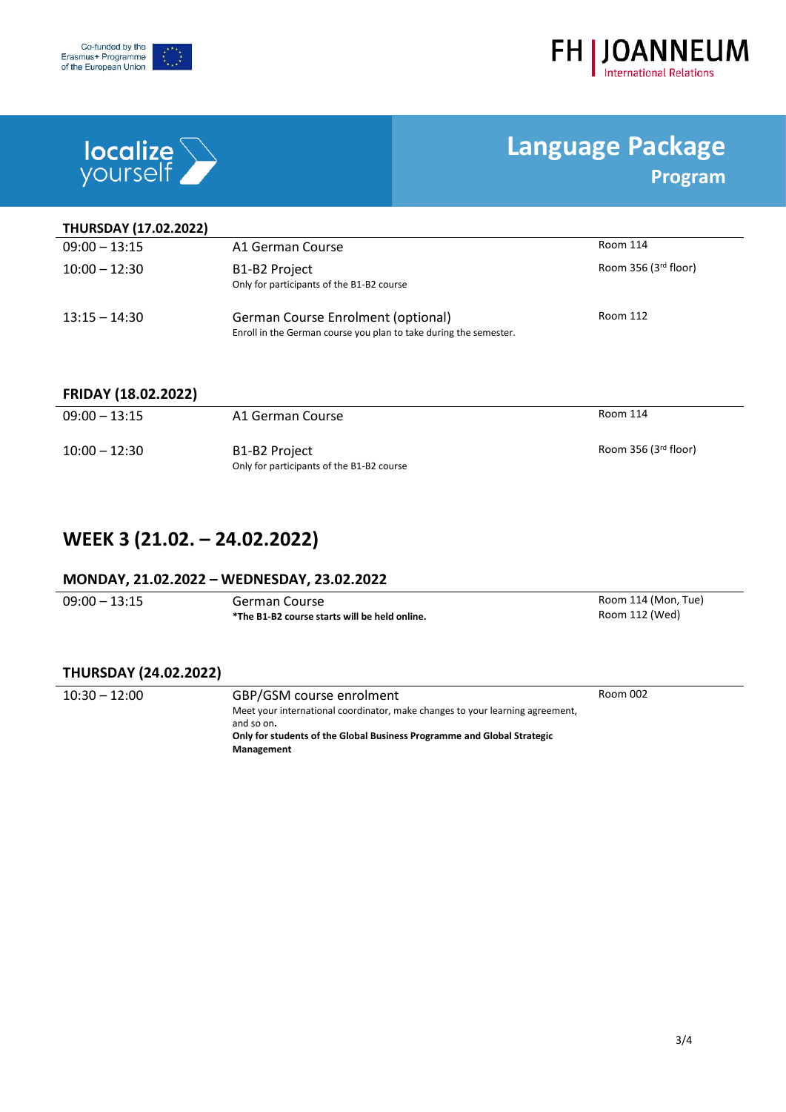



# **localize**

j.

## **Language Package Program**

| <b>THURSDAY (17.02.2022)</b> |                                                                                                         |                      |
|------------------------------|---------------------------------------------------------------------------------------------------------|----------------------|
| $09:00 - 13:15$              | A1 German Course                                                                                        | Room 114             |
| $10:00 - 12:30$              | B1-B2 Project<br>Only for participants of the B1-B2 course                                              | Room 356 (3rd floor) |
| $13:15 - 14:30$              | German Course Enrolment (optional)<br>Enroll in the German course you plan to take during the semester. | Room 112             |

#### **FRIDAY (18.02.2022)**

| $09:00 - 13:15$ | A1 German Course                                           | Room 114             |
|-----------------|------------------------------------------------------------|----------------------|
| $10:00 - 12:30$ | B1-B2 Project<br>Only for participants of the B1-B2 course | Room 356 (3rd floor) |

### **WEEK 3 (21.02. – 24.02.2022)**

#### **MONDAY, 21.02.2022 – WEDNESDAY, 23.02.2022**

| $09:00 - 13:15$ | German Course                                 | Room 114 (Mon, Tue) |
|-----------------|-----------------------------------------------|---------------------|
|                 | *The B1-B2 course starts will be held online. | Room 112 (Wed)      |

#### **THURSDAY (24.02.2022)**

| $10:30 - 12:00$ | GBP/GSM course enrolment                                                      | Room 002 |
|-----------------|-------------------------------------------------------------------------------|----------|
|                 | Meet your international coordinator, make changes to your learning agreement, |          |
|                 | and so on.                                                                    |          |
|                 | Only for students of the Global Business Programme and Global Strategic       |          |
|                 | Management                                                                    |          |